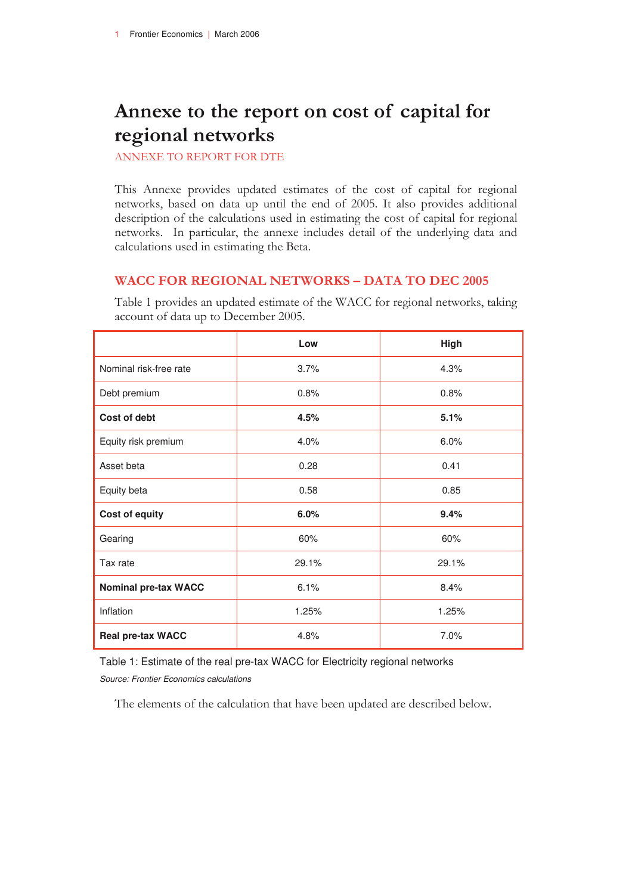# **Annexe to the report on cost of capital for regional networks**

ANNEXE TO REPORT FOR DTE

This Annexe provides updated estimates of the cost of capital for regional networks, based on data up until the end of 2005. It also provides additional description of the calculations used in estimating the cost of capital for regional networks. In particular, the annexe includes detail of the underlying data and calculations used in estimating the Beta.

#### **WACC FOR REGIONAL NETWORKS – DATA TO DEC 2005**

|                             | Low   | High  |
|-----------------------------|-------|-------|
| Nominal risk-free rate      | 3.7%  | 4.3%  |
| Debt premium                | 0.8%  | 0.8%  |
| Cost of debt                | 4.5%  | 5.1%  |
| Equity risk premium         | 4.0%  | 6.0%  |
| Asset beta                  | 0.28  | 0.41  |
| Equity beta                 | 0.58  | 0.85  |
| Cost of equity              | 6.0%  | 9.4%  |
| Gearing                     | 60%   | 60%   |
| Tax rate                    | 29.1% | 29.1% |
| <b>Nominal pre-tax WACC</b> | 6.1%  | 8.4%  |
| Inflation                   | 1.25% | 1.25% |
| Real pre-tax WACC           | 4.8%  | 7.0%  |

Table 1 provides an updated estimate of the WACC for regional networks, taking account of data up to December 2005.

Table 1: Estimate of the real pre-tax WACC for Electricity regional networks *Source: Frontier Economics calculations* 

The elements of the calculation that have been updated are described below.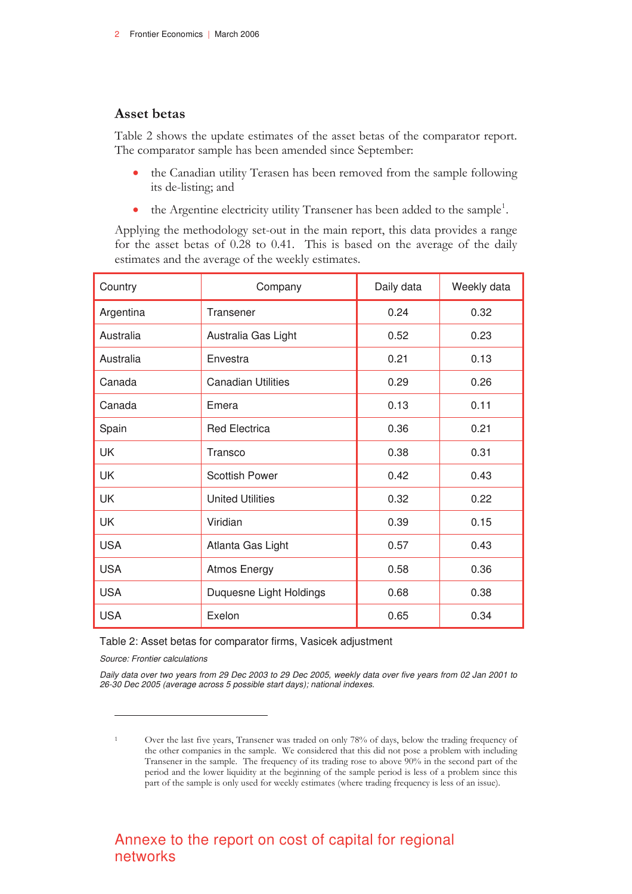### **Asset betas**

Table 2 shows the update estimates of the asset betas of the comparator report. The comparator sample has been amended since September:

- the Canadian utility Terasen has been removed from the sample following its de-listing; and
- the Argentine electricity utility Transener has been added to the sample<sup>1</sup>.

Applying the methodology set-out in the main report, this data provides a range for the asset betas of 0.28 to 0.41. This is based on the average of the daily estimates and the average of the weekly estimates.

| Country    | Company                   | Daily data | Weekly data |
|------------|---------------------------|------------|-------------|
| Argentina  | Transener                 | 0.24       | 0.32        |
| Australia  | Australia Gas Light       | 0.52       | 0.23        |
| Australia  | Envestra                  | 0.21       | 0.13        |
| Canada     | <b>Canadian Utilities</b> | 0.29       | 0.26        |
| Canada     | Emera                     | 0.13       | 0.11        |
| Spain      | <b>Red Electrica</b>      | 0.36       | 0.21        |
| UK         | Transco                   | 0.38       | 0.31        |
| UK         | <b>Scottish Power</b>     | 0.42       | 0.43        |
| <b>UK</b>  | <b>United Utilities</b>   | 0.32       | 0.22        |
| UK         | Viridian                  | 0.39       | 0.15        |
| <b>USA</b> | Atlanta Gas Light         | 0.57       | 0.43        |
| <b>USA</b> | <b>Atmos Energy</b>       | 0.58       | 0.36        |
| <b>USA</b> | Duquesne Light Holdings   | 0.68       | 0.38        |
| <b>USA</b> | Exelon                    | 0.65       | 0.34        |

#### Table 2: Asset betas for comparator firms, Vasicek adjustment

*Source: Frontier calculations* 

 $\overline{a}$ 

*Daily data over two years from 29 Dec 2003 to 29 Dec 2005, weekly data over five years from 02 Jan 2001 to 26-30 Dec 2005 (average across 5 possible start days); national indexes.* 

# Annexe to the report on cost of capital for regional networks

Over the last five years, Transener was traded on only 78% of days, below the trading frequency of the other companies in the sample. We considered that this did not pose a problem with including Transener in the sample. The frequency of its trading rose to above 90% in the second part of the period and the lower liquidity at the beginning of the sample period is less of a problem since this part of the sample is only used for weekly estimates (where trading frequency is less of an issue).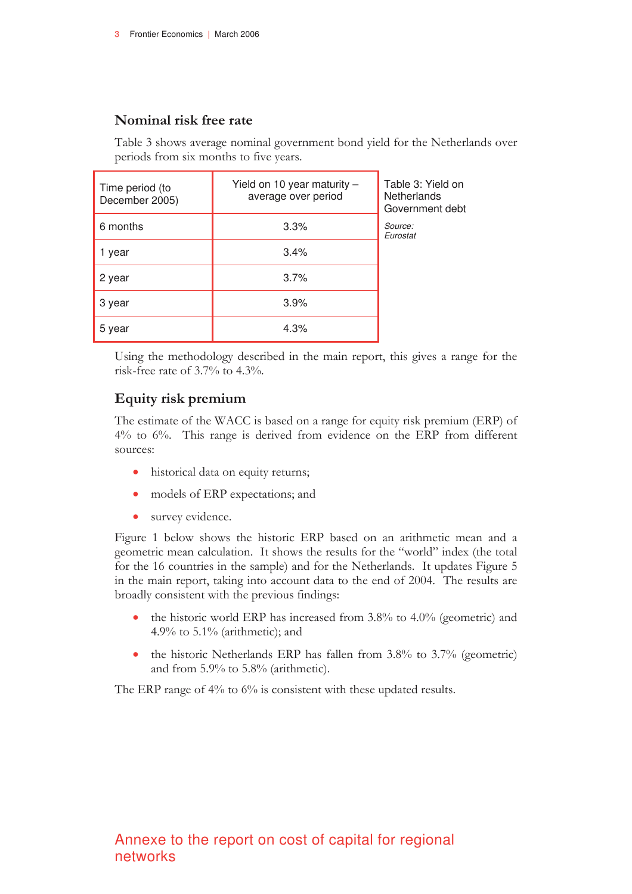### **Nominal risk free rate**

Table 3 shows average nominal government bond yield for the Netherlands over periods from six months to five years.

| Time period (to<br>December 2005) | Yield on 10 year maturity $-$<br>average over period | Table 3: Yield on<br>Netherlands<br>Government debt |
|-----------------------------------|------------------------------------------------------|-----------------------------------------------------|
| 6 months                          | 3.3%                                                 | Source:<br>Eurostat                                 |
| 1 year                            | 3.4%                                                 |                                                     |
| 2 year                            | 3.7%                                                 |                                                     |
| 3 year                            | 3.9%                                                 |                                                     |
| 5 year                            | 4.3%                                                 |                                                     |

Using the methodology described in the main report, this gives a range for the risk-free rate of 3.7% to 4.3%.

### **Equity risk premium**

The estimate of the WACC is based on a range for equity risk premium (ERP) of 4% to 6%. This range is derived from evidence on the ERP from different sources:

- historical data on equity returns;
- models of ERP expectations; and
- survey evidence.

Figure 1 below shows the historic ERP based on an arithmetic mean and a geometric mean calculation. It shows the results for the "world" index (the total for the 16 countries in the sample) and for the Netherlands. It updates Figure 5 in the main report, taking into account data to the end of 2004. The results are broadly consistent with the previous findings:

- the historic world ERP has increased from 3.8% to 4.0% (geometric) and 4.9% to 5.1% (arithmetic); and
- the historic Netherlands ERP has fallen from 3.8% to 3.7% (geometric) and from 5.9% to 5.8% (arithmetic).

The ERP range of 4% to 6% is consistent with these updated results.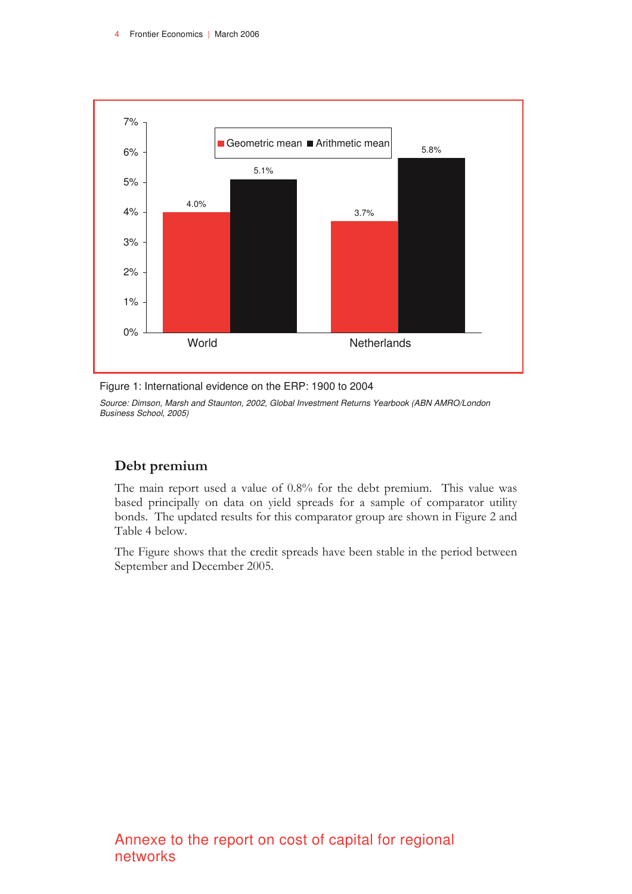

Figure 1: International evidence on the ERP: 1900 to 2004

*Source: Dimson, Marsh and Staunton, 2002, Global Investment Returns Yearbook (ABN AMRO/London Business School, 2005)* 

### **Debt premium**

The main report used a value of 0.8% for the debt premium. This value was based principally on data on yield spreads for a sample of comparator utility bonds. The updated results for this comparator group are shown in Figure 2 and Table 4 below.

The Figure shows that the credit spreads have been stable in the period between September and December 2005.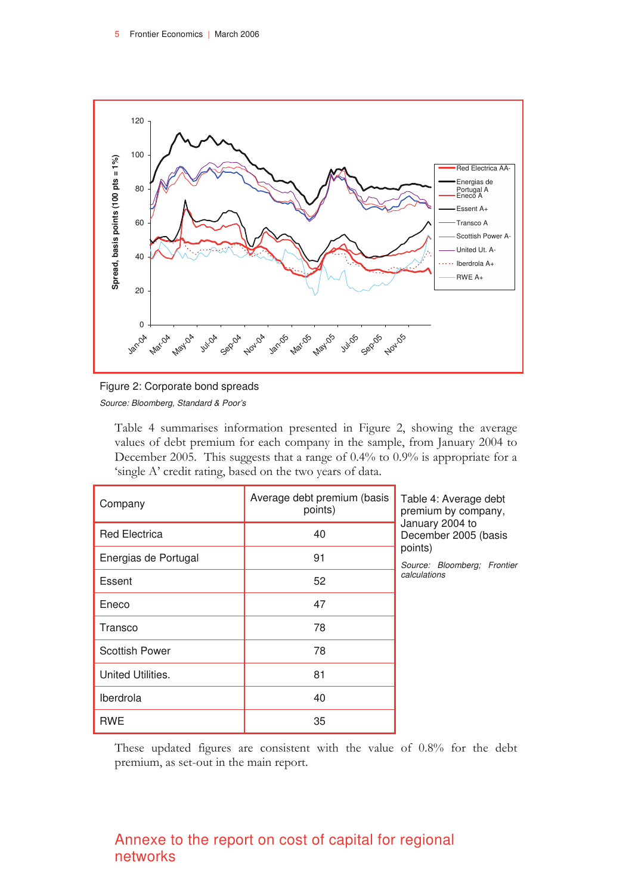



Table 4 summarises information presented in Figure 2, showing the average values of debt premium for each company in the sample, from January 2004 to December 2005. This suggests that a range of 0.4% to 0.9% is appropriate for a 'single A' credit rating, based on the two years of data.

| Company               | Average debt premium (basis<br>points) | Table 4: Average debt<br>premium by company,                                                      |
|-----------------------|----------------------------------------|---------------------------------------------------------------------------------------------------|
| <b>Red Electrica</b>  | 40                                     | January 2004 to<br>December 2005 (basis<br>points)<br>Source: Bloomberg; Frontier<br>calculations |
| Energias de Portugal  | 91                                     |                                                                                                   |
| Essent                | 52                                     |                                                                                                   |
| Eneco                 | 47                                     |                                                                                                   |
| Transco               | 78                                     |                                                                                                   |
| <b>Scottish Power</b> | 78                                     |                                                                                                   |
| United Utilities.     | 81                                     |                                                                                                   |
| Iberdrola             | 40                                     |                                                                                                   |
| <b>RWE</b>            | 35                                     |                                                                                                   |

These updated figures are consistent with the value of 0.8% for the debt premium, as set-out in the main report.

# Annexe to the report on cost of capital for regional networks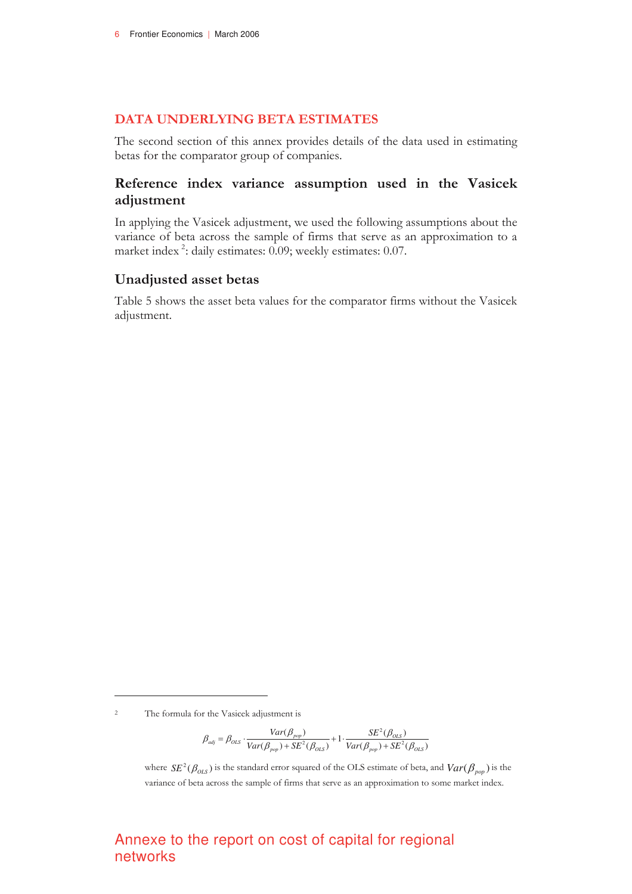#### **DATA UNDERLYING BETA ESTIMATES**

The second section of this annex provides details of the data used in estimating betas for the comparator group of companies.

### **Reference index variance assumption used in the Vasicek adjustment**

In applying the Vasicek adjustment, we used the following assumptions about the variance of beta across the sample of firms that serve as an approximation to a market index<sup>2</sup>: daily estimates: 0.09; weekly estimates: 0.07.

#### **Unadjusted asset betas**

Table 5 shows the asset beta values for the comparator firms without the Vasicek adjustment.

 $\overline{a}$ 

$$
\beta_{adj} = \beta_{OLS} \cdot \frac{Var(\beta_{pop})}{Var(\beta_{pop}) + SE^2(\beta_{OLS})} + 1 \cdot \frac{SE^2(\beta_{OLS})}{Var(\beta_{pop}) + SE^2(\beta_{OLS})}
$$

where  $SE^2(\beta_{OLS})$  is the standard error squared of the OLS estimate of beta, and  $Var(\beta_{pop})$  is the variance of beta across the sample of firms that serve as an approximation to some market index.

# Annexe to the report on cost of capital for regional networks

 $\overline{2}$ The formula for the Vasicek adjustment is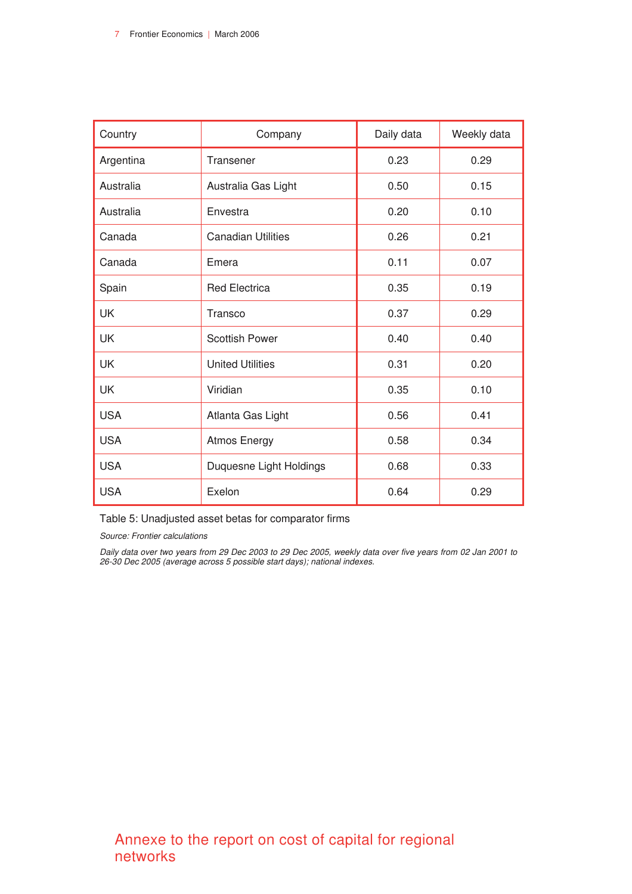| Country    | Company                   | Daily data | Weekly data |
|------------|---------------------------|------------|-------------|
| Argentina  | Transener                 | 0.23       | 0.29        |
| Australia  | Australia Gas Light       | 0.50       | 0.15        |
| Australia  | Envestra                  | 0.20       | 0.10        |
| Canada     | <b>Canadian Utilities</b> | 0.26       | 0.21        |
| Canada     | Emera                     | 0.11       | 0.07        |
| Spain      | <b>Red Electrica</b>      | 0.35       | 0.19        |
| <b>UK</b>  | Transco                   | 0.37       | 0.29        |
| UK         | <b>Scottish Power</b>     | 0.40       | 0.40        |
| UK         | <b>United Utilities</b>   | 0.31       | 0.20        |
| <b>UK</b>  | Viridian                  | 0.35       | 0.10        |
| <b>USA</b> | Atlanta Gas Light         | 0.56       | 0.41        |
| <b>USA</b> | <b>Atmos Energy</b>       | 0.58       | 0.34        |
| <b>USA</b> | Duquesne Light Holdings   | 0.68       | 0.33        |
| <b>USA</b> | Exelon                    | 0.64       | 0.29        |

Table 5: Unadjusted asset betas for comparator firms

*Source: Frontier calculations* 

*Daily data over two years from 29 Dec 2003 to 29 Dec 2005, weekly data over five years from 02 Jan 2001 to 26-30 Dec 2005 (average across 5 possible start days); national indexes.*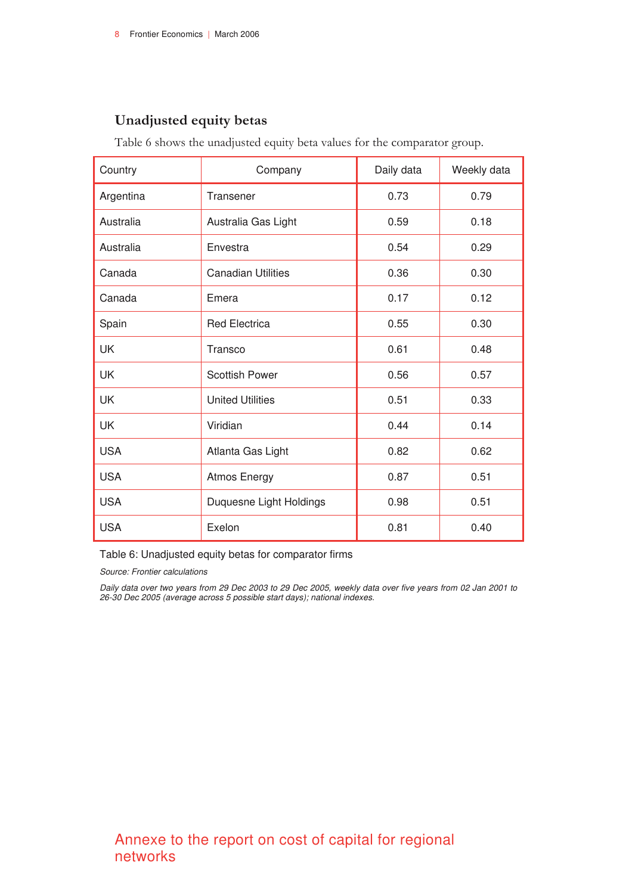# **Unadjusted equity betas**

Table 6 shows the unadjusted equity beta values for the comparator group.

| Country    | Company                         | Daily data | Weekly data |
|------------|---------------------------------|------------|-------------|
| Argentina  | Transener                       | 0.73       | 0.79        |
| Australia  | Australia Gas Light             | 0.59       | 0.18        |
| Australia  | Envestra                        | 0.54       | 0.29        |
| Canada     | <b>Canadian Utilities</b>       | 0.36       | 0.30        |
| Canada     | Emera                           | 0.17       | 0.12        |
| Spain      | <b>Red Electrica</b>            | 0.55       | 0.30        |
| UK         | Transco                         | 0.61       | 0.48        |
| UK         | <b>Scottish Power</b>           | 0.56       | 0.57        |
| UK         | <b>United Utilities</b>         | 0.51       | 0.33        |
| UK         | Viridian                        | 0.44       | 0.14        |
| <b>USA</b> | Atlanta Gas Light               | 0.82       | 0.62        |
| <b>USA</b> | <b>Atmos Energy</b>             | 0.87       | 0.51        |
| <b>USA</b> | Duquesne Light Holdings<br>0.98 |            | 0.51        |
| <b>USA</b> | Exelon                          | 0.81       | 0.40        |

Table 6: Unadjusted equity betas for comparator firms

*Source: Frontier calculations* 

*Daily data over two years from 29 Dec 2003 to 29 Dec 2005, weekly data over five years from 02 Jan 2001 to 26-30 Dec 2005 (average across 5 possible start days); national indexes.*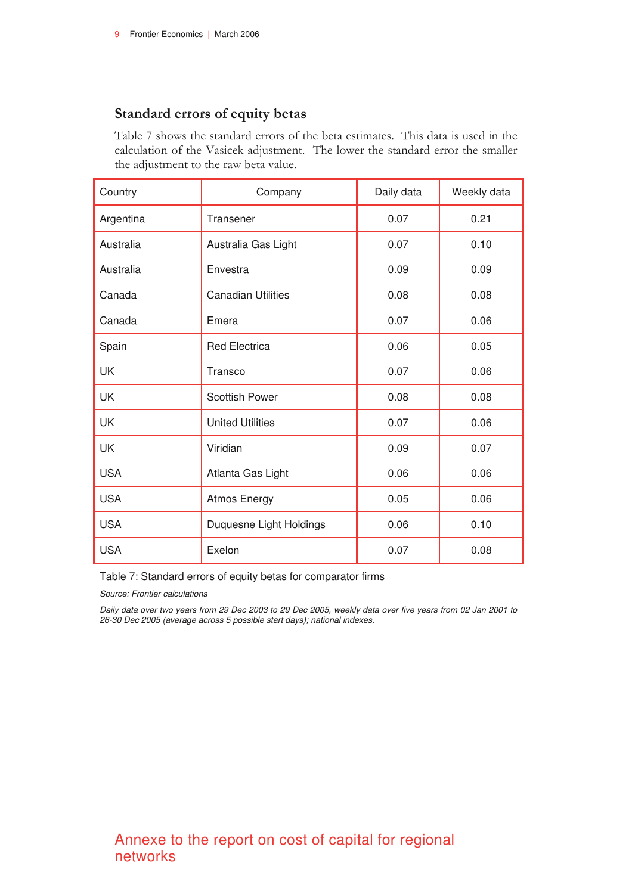### **Standard errors of equity betas**

Table 7 shows the standard errors of the beta estimates. This data is used in the calculation of the Vasicek adjustment. The lower the standard error the smaller the adjustment to the raw beta value.

| Country    | Company                   | Daily data | Weekly data |
|------------|---------------------------|------------|-------------|
| Argentina  | Transener                 | 0.07       | 0.21        |
| Australia  | Australia Gas Light       | 0.07       | 0.10        |
| Australia  | Envestra                  | 0.09       | 0.09        |
| Canada     | <b>Canadian Utilities</b> | 0.08       | 0.08        |
| Canada     | Emera                     | 0.07       | 0.06        |
| Spain      | <b>Red Electrica</b>      | 0.06       | 0.05        |
| UK         | Transco                   | 0.07       | 0.06        |
| UK         | <b>Scottish Power</b>     | 0.08       | 0.08        |
| UK         | <b>United Utilities</b>   | 0.07       | 0.06        |
| <b>UK</b>  | Viridian                  | 0.09       | 0.07        |
| <b>USA</b> | Atlanta Gas Light         | 0.06       | 0.06        |
| <b>USA</b> | <b>Atmos Energy</b>       | 0.05       | 0.06        |
| <b>USA</b> | Duquesne Light Holdings   | 0.06       | 0.10        |
| <b>USA</b> | Exelon                    | 0.07       | 0.08        |

Table 7: Standard errors of equity betas for comparator firms

*Source: Frontier calculations* 

*Daily data over two years from 29 Dec 2003 to 29 Dec 2005, weekly data over five years from 02 Jan 2001 to 26-30 Dec 2005 (average across 5 possible start days); national indexes.*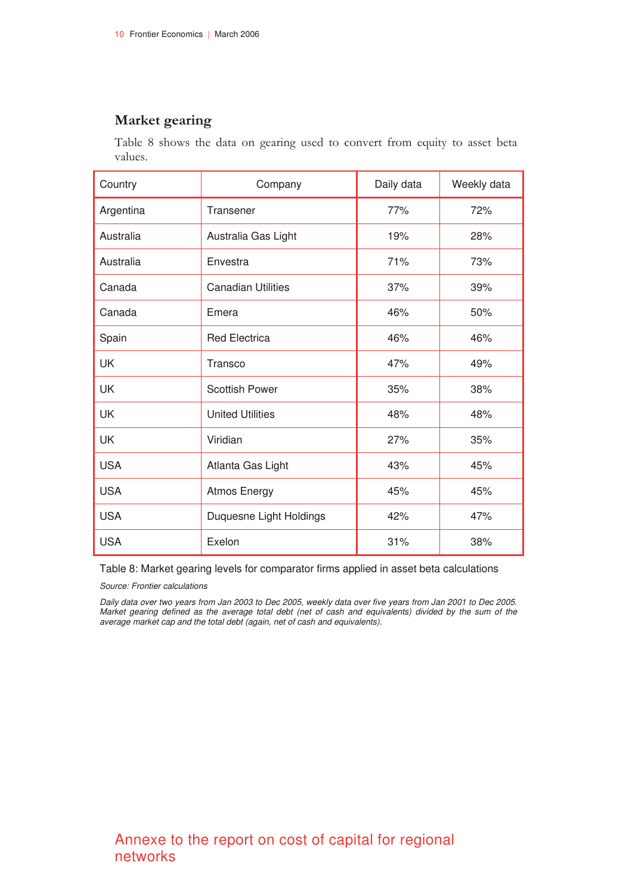### **Market gearing**

Table 8 shows the data on gearing used to convert from equity to asset beta values.

| Country    | Company                        | Daily data | Weekly data |
|------------|--------------------------------|------------|-------------|
| Argentina  | Transener                      | 77%        | 72%         |
| Australia  | Australia Gas Light            | 19%        | 28%         |
| Australia  | Envestra                       | 71%        | 73%         |
| Canada     | <b>Canadian Utilities</b>      | 37%        | 39%         |
| Canada     | Emera                          | 46%        | 50%         |
| Spain      | <b>Red Electrica</b>           | 46%        | 46%         |
| <b>UK</b>  | Transco                        | 47%        | 49%         |
| <b>UK</b>  | <b>Scottish Power</b>          | 35%        | 38%         |
| <b>UK</b>  | <b>United Utilities</b>        | 48%        | 48%         |
| UK         | Viridian                       | 27%        | 35%         |
| <b>USA</b> | Atlanta Gas Light              | 43%        | 45%         |
| <b>USA</b> | <b>Atmos Energy</b>            | 45%        | 45%         |
| <b>USA</b> | Duquesne Light Holdings<br>42% |            | 47%         |
| <b>USA</b> | Exelon                         | 31%        | 38%         |

Table 8: Market gearing levels for comparator firms applied in asset beta calculations

*Source: Frontier calculations* 

*Daily data over two years from Jan 2003 to Dec 2005, weekly data over five years from Jan 2001 to Dec 2005. Market gearing defined as the average total debt (net of cash and equivalents) divided by the sum of the average market cap and the total debt (again, net of cash and equivalents).*